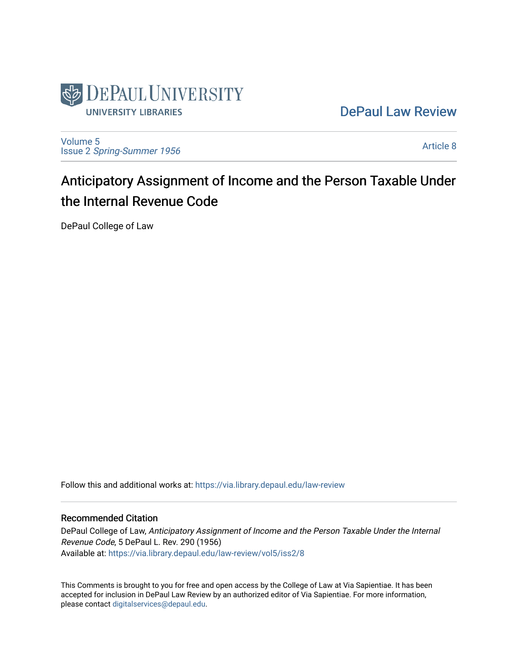

[DePaul Law Review](https://via.library.depaul.edu/law-review) 

[Volume 5](https://via.library.depaul.edu/law-review/vol5) Issue 2 [Spring-Summer 1956](https://via.library.depaul.edu/law-review/vol5/iss2) 

[Article 8](https://via.library.depaul.edu/law-review/vol5/iss2/8) 

## Anticipatory Assignment of Income and the Person Taxable Under the Internal Revenue Code

DePaul College of Law

Follow this and additional works at: [https://via.library.depaul.edu/law-review](https://via.library.depaul.edu/law-review?utm_source=via.library.depaul.edu%2Flaw-review%2Fvol5%2Fiss2%2F8&utm_medium=PDF&utm_campaign=PDFCoverPages) 

## Recommended Citation

DePaul College of Law, Anticipatory Assignment of Income and the Person Taxable Under the Internal Revenue Code, 5 DePaul L. Rev. 290 (1956) Available at: [https://via.library.depaul.edu/law-review/vol5/iss2/8](https://via.library.depaul.edu/law-review/vol5/iss2/8?utm_source=via.library.depaul.edu%2Flaw-review%2Fvol5%2Fiss2%2F8&utm_medium=PDF&utm_campaign=PDFCoverPages) 

This Comments is brought to you for free and open access by the College of Law at Via Sapientiae. It has been accepted for inclusion in DePaul Law Review by an authorized editor of Via Sapientiae. For more information, please contact [digitalservices@depaul.edu.](mailto:digitalservices@depaul.edu)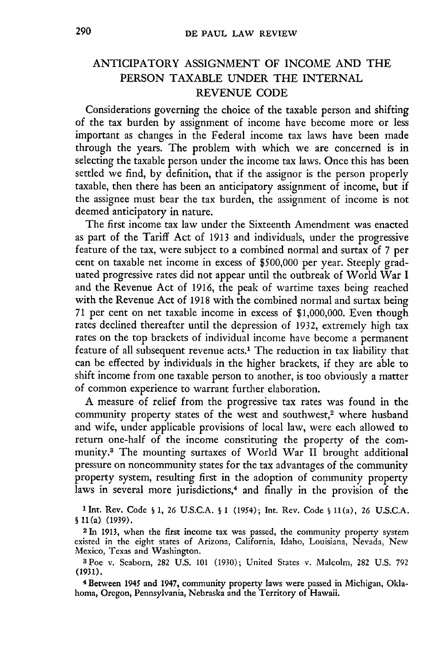## ANTICIPATORY ASSIGNMENT OF INCOME AND THE PERSON TAXABLE UNDER THE INTERNAL REVENUE CODE

Considerations governing the choice of the taxable person and shifting of the tax burden by assignment of income have become more or less important as changes in the Federal income tax laws have been made through the years. The problem with which we are concerned is in selecting the taxable person under the income tax laws. Once this has been settled we find, by definition, that if the assignor is the person properly taxable, then there has been an anticipatory assignment of income, but if the assignee must bear the tax burden, the assignment of income is not deemed anticipatory in nature.

The first income tax law under the Sixteenth Amendment was enacted as part of the Tariff Act of 1913 and individuals, under the progressive feature of the tax, were subject to a combined normal and surtax of 7 per cent on taxable net income in excess of \$500,000 per year. Steeply graduated progressive rates did not appear until the outbreak of World War I and the Revenue Act of 1916, the peak of wartime taxes being reached with the Revenue Act of 1918 with the combined normal and surtax being 71 per cent on net taxable income in excess of \$1,000,000. Even though rates declined thereafter until the depression of 1932, extremely high tax rates on the top brackets of individual income have become a permanent feature of all subsequent revenue acts.<sup>1</sup> The reduction in tax liability that can be effected by individuals in the higher brackets, if they are able to shift income from one taxable person to another, is too obviously a matter of common experience to warrant further elaboration.

A measure of relief from the progressive tax rates was found in the community property states of the west and southwest,<sup>2</sup> where husband and wife, under applicable provisions of local law, were each allowed to return one-half of the income constituting the property of the community.3 The mounting surtaxes of World War II brought additional pressure on noncommunity states for the tax advantages of the community property system, resulting first in the adoption of community property laws in several more jurisdictions,<sup>4</sup> and finally in the provision of the

IInt. Rev. Code **§ 1, 26 U.S.C.A. § 1** (1954); Int. Rev. Code **§** 11(a), **26 U.S.C.A. 11** l(a) **(1939).**

**2 In 1913,** when the first income tax was passed, the community property system existed in the eight states of Arizona, California, Idaho, Louisiana, Nevada, New Mexico, Texas and Washington.

3Poe v. Seaborn, 282 U.S. 101 (1930); United States v. Malcolm, 282 U.S. 792 **(1931).**

4 Between 1945 and 1947, community property laws were passed in Michigan, Oklahoma, Oregon, Pennsylvania, Nebraska and the Territory of Hawaii.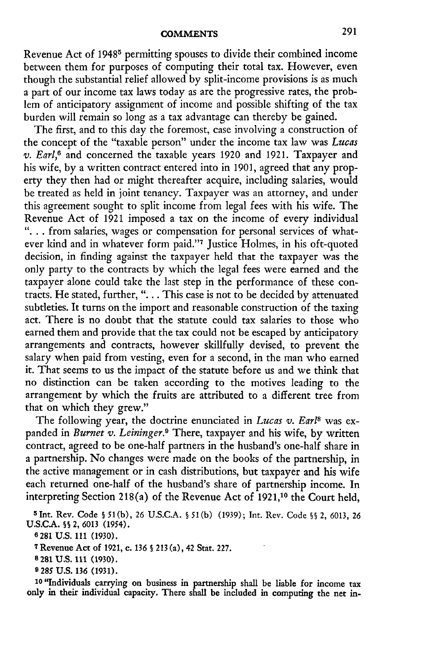Revenue Act of 19485 permitting spouses to divide their combined income between them for purposes of computing their total tax. However, even though the substantial relief allowed by split-income provisions is as much a part of our income tax laws today as are the progressive rates, the problem of anticipatory assignment of income and possible shifting of the tax burden will remain so long as a tax advantage can thereby be gained.

The first, and to this day the foremost, case involving a construction of the concept of the "taxable person" under the income tax law was *Lucas v. Earl,6* and concerned the taxable years 1920 and 1921. Taxpayer and his wife, by a written contract entered into in 1901, agreed that any property they then had or might thereafter acquire, including salaries, would be treated as held in joint tenancy. Taxpayer was an attorney, and under this agreement sought to split income from legal fees with his wife. The Revenue Act of 1921 imposed a tax on the income of every individual **"..** . from salaries, wages or compensation for personal services of whatever kind and in whatever form paid."' 7 Justice Holmes, in his oft-quoted decision, in finding against the taxpayer held that the taxpayer was the only party to the contracts by which the legal fees were earned and the taxpayer alone could take the last step in the performance of these contracts. He stated, further, ". **.** . This case is not to be decided by attenuated subtleties. It turns on the import and reasonable construction of the taxing act. There is no doubt that the statute could tax salaries to those who earned them and provide that the tax could not be escaped by anticipatory arrangements and contracts, however skillfully devised, to prevent the salary when paid from vesting, even for a second, in the man who earned it. That seems to us the impact of the statute before us and we think that no distinction can be taken according to the motives leading to the arrangement by which the fruits are attributed to a different tree from that on which they grew."

The following year, the doctrine enunciated in *Lucas v. Earls* was expanded in *Burnet v. Leininger.9* There, taxpayer and his wife, **by** written contract, agreed to be one-half partners in the husband's one-half share in a partnership. No changes were made on the books of the partnership, in the active management or in cash distributions, but taxpayer and his wife each returned one-half of the husband's share of partnership income. In interpreting Section **218(a)** of the Revenue Act of **192 1,10** the Court held,

<sup>5</sup> Int. Rev. Code **§** 51(b), 26 U.S.C.A. **§** 51(b) (1939); Int. Rev. Code §9 2, **6013,** 26 **U.S.C.A. S9** 2, 6013 (1954).

**6281 U.S. 111 (1930).**

**<sup>7</sup>**Revenue Act of 1921, c. **136 §** 213 (a), 42 Stat. 227.

**8 281 U.S. 111 (1930).**

**9 285 U.S. 136 (1931).**

**10 "Individuals carrying on business** in **partnership shall** be liable **for income tax only in** their individual capacity. There shall be included in **computing the net in-**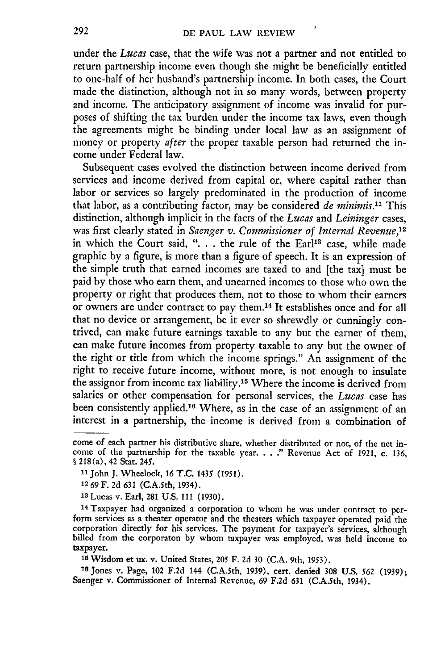under the *Lucas* case, that the wife was not a partner and not entitled to return partnership income even though she might be beneficially entitled to one-half of her husband's partnership income. In both cases, the Court made the distinction, although not in so many words, between property and income. The anticipatory assignment of income was invalid for purposes of shifting the tax burden under the income tax laws, even though the agreements might be binding under local law as an assignment of money or property *after* the proper taxable person had returned the income under Federal law.

Subsequent cases evolved the distinction between income derived from services and income derived from capital or, where capital rather than labor or services so largely predominated in the production of income that labor, as a contributing factor, may be considered *de minimis.11* This distinction, although implicit in the facts of the *Lucas* and *Leininger* cases, was first clearly stated in *Saenger v. Commissioner of Internal Revenue, <sup>12</sup>* in which the Court said, ". . . the rule of the Earl<sup>13</sup> case, while made graphic by a figure, is more than a figure of speech. It is an expression of the simple truth that earned incomes are taxed to and [the tax] must be paid by those who earn them, and unearned incomes to those who own the property or right that produces them, not to those to whom their earners or owners are under contract to pay them. 14 It establishes once and for all that no device or arrangement, be it ever so shrewdly or cunningly contrived, can make future earnings taxable to any but the earner of them, can make future incomes from property taxable to any but the owner of the right or title from which the income springs." An assignment of the right to receive future income, without more, is not enough to insulate the assignor from income tax liability. 15 Where the income is derived from salaries or other compensation for personal services, the *Lucas* case has been consistently applied.<sup>16</sup> Where, as in the case of an assignment of an interest in a partnership, the income is derived from a combination of

**<sup>15</sup>**Wisdom et ux. v. United States, 205 F. 2d **30** (C.A. 9th, 1953).

**<sup>10</sup>**Jones v. Page, 102 F.2d 144 (C.A.Sth, 1939), cert. denied **308** U.S. **562 (1939);** Saenger v. Commissioner of Internal Revenue, **69 F.2d 631** (C.A.Sth, 1934).

come of each partner his distributive share, whether distributed or not, of the net in- come of the partnership for the taxable year. . . **."** Revenue Act of 1921, c. 136, § 218(a), 42 Stat. 245.

**<sup>11</sup>**John J. Wheelock, 16 T.C. 1435 (1951).

<sup>12</sup> **69** F. 2d 631 (C.A.5th, 1934).

**<sup>13</sup>**Lucas v. Earl, 281 U.S. 111 (1930).

<sup>14</sup> Taxpayer had organized a corporation to whom he was under contract to perform services as a theater operator and the theaters which taxpayer operated paid the corporation directly for his services. The payment for taxpayer's services, although billed from the corporaton by whom taxpayer was employed, was held income to taxpayer.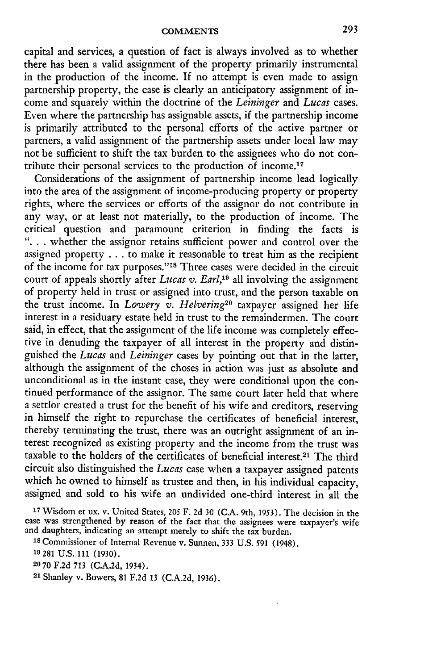capital and services, a question of fact is always involved as to whether there has been a valid assignment of the property primarily instrumental in the production of the income. **If** no attempt is even made to assign partnership property, the case is clearly an anticipatory assignment of income and squarely within the doctrine of the *Leininger* and *Lucas* cases. Even where the partnership has assignable assets, if the partnership income is primarily attributed to the personal efforts of the active partner or partners, a valid assignment of the partnership assets under local law may not be sufficient to shift the tax burden to the assignees who do not contribute their personal services to the production of income.<sup>17</sup>

Considerations of the assignment of partnership income lead logically into the area of the assignment of income-producing property or property rights, where the services or efforts of the assignor do not contribute in any way, or at least not materially, to the production of income. The critical question and paramount criterion in finding the facts is **"...** whether the assignor retains sufficient power and control over the assigned property **...** to make it reasonable to treat him as the recipient of the income for tax purposes."<sup>18</sup> Three cases were decided in the circuit court of appeals shortly after *Lucas v. Earl,19* all involving the assignment of property held in trust or assigned into trust, and the person taxable on the trust income. In *Lowery v. Helvering20* taxpayer assigned her life interest in a residuary estate held in trust to the remaindermen. The court said, in effect, that the assignment of the life income was completely effective in denuding the taxpayer of all interest in the property and distinguished the *Lucas* and *Leininger* cases by pointing out that in the latter, although the assignment of the choses in action was just as absolute and unconditional as in the instant case, they were conditional upon the continued performance of the assignor. The same court later held that where a settlor created a trust for the benefit of his wife and creditors, reserving in himself the right to repurchase the certificates of beneficial interest, thereby terminating the trust, there was an outright assignment of an interest recognized as existing property and the income from the trust was taxable to the holders of the certificates of beneficial interest.<sup>21</sup> The third circuit also distinguished the *Lucas* case when a taxpayer assigned patents which he owned to himself as trustee and then, in his individual capacity, assigned and sold to his wife an undivided one-third interest in all the

17Wisdom et ux. v. United States, 205 F. 2d 30 (C.A. 9th, 1953). The decision in the case was strengthened by reason of the fact that the assignees were taxpayer's wife and daughters, indicating an attempt merely to shift the tax burden.

**<sup>18</sup>**Commissioner of Internal Revenue v. Sunnen, 333 U.S. 591 (1948).

**19281** U.S. 111 (1930).

20 **70** F.2d 713 (C.A.2d, 1934).

21 Shanley v. Bowers, 81 F.2d 13 (C.A.2d, 1936).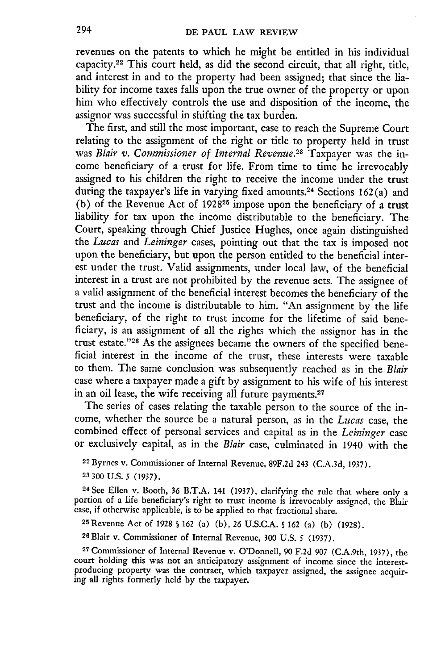revenues on the patents to which he might be entitled in his individual capacity.<sup>22</sup> This court held, as did the second circuit, that all right, title, and interest in and to the property had been assigned; that since the liability for income taxes falls upon the true owner of the property or upon him who effectively controls the use and disposition of the income, the assignor was successful in shifting the tax burden.

The first, and still the most important, case to reach the Supreme Court relating to the assignment of the right or title to property held in trust was *Blair v. Commissioner of Internal Revenue.23* Taxpayer was the income beneficiary of a trust for life. From time to time he irrevocably assigned to his children the right to receive the income under the trust during the taxpayer's life in varying fixed amounts.<sup>24</sup> Sections 162(a) and (b) of the Revenue Act of 192825 impose upon the beneficiary of a trust liability for tax upon the income distributable to the beneficiary. The Court, speaking through Chief Justice Hughes, once again distinguished the *Lucas* and *Leininger* cases, pointing out that the tax is imposed not upon the beneficiary, but upon the person entitled to the beneficial interest under the trust. Valid assignments, under local law, of the beneficial interest in a trust are not prohibited by the revenue acts. The assignee of a valid assignment of the beneficial interest becomes the beneficiary of the trust and the income is distributable to him. "An assignment by the life beneficiary, of the right to trust income for the lifetime of said beneficiary, is an assignment of all the rights which the assignor has in the trust estate."<sup>26</sup> As the assignees became the owners of the specified beneficial interest in the income of the trust, these interests were taxable to them. The same conclusion was subsequently reached as in the *Blair* case where a taxpayer made a gift by assignment to his wife of his interest in an oil lease, the wife receiving all future payments.27

The series of cases relating the taxable person to the source of the income, whether the source be a natural person, as in the *Lucas* case, the combined effect of personal services and capital as in the *Leininger* case or exclusively capital, as in the *Blair* case, culminated in 1940 with the

22 Byrnes v. Commissioner of Internal Revenue, 89F.2d 243 (C.A.3d, 1937).

**23** 300 U.S. 5 (1937).

<sup>24</sup> See Ellen v. Booth, 36 B.T.A. 141 (1937), clarifying the rule that where only a portion of a life beneficiary's right to trust income is irrevocably assigned, the Blair case, if otherwise applicable, is to be applied to that fractional share.<br><sup>25</sup> Revenue Act of 1928 § 162 (a) (b), 26 U.S.C.A. § 162 (a) (b) (1928).

**<sup>26</sup>**Blair v. Commissioner of Internal Revenue, 300 U.S. **5** (1937).

**<sup>27</sup>**Commissioner of Internal Revenue v. O'Donnell, 90 F.2d 907 (C.A.9th, 1937), the court holding this was not an anticipatory assignment of income since the interestproducing property was the contract, which taxpayer assigned, the assignee acquiring all rights formerly held by the taxpayer.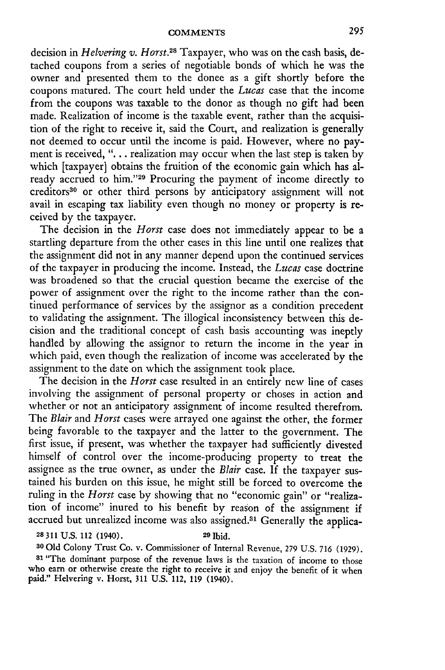decision in *Helvering v. Horst.*<sup>28</sup> Taxpayer, who was on the cash basis, detached coupons from a series of negotiable bonds of which he was the owner and presented them to the donee as a gift shortly before the coupons matured. The court held under the *Lucas* case that the income from the coupons was taxable to the donor as though no gift had been made. Realization of income is the taxable event, rather than the acquisition of the right to receive it, said the Court, and realization is generally not deemed to occur until the income is paid. However, where no payment is received, **". ..** realization may occur when the last step is taken **by** which [taxpayer] obtains the fruition of the economic gain which has already accrued to him."<sup>29</sup> Procuring the payment of income directly to creditors30 or other third persons **by** anticipatory assignment will not avail in escaping tax liability even though no money or property is received **by** the taxpayer.

The decision in the *Horst* case does not immediately appear to be a startling departure from the other cases in this line until one realizes that the assignment did not in any manner depend upon the continued services of the taxpayer in producing the income. Instead, the *Lucas* case doctrine was broadened so that the crucial question became the exercise of the power of assignment over the right to the income rather than the continued performance of services **by** the assignor as a condition precedent to validating the assignment. The illogical inconsistency between this decision and the traditional concept of cash basis accounting was ineptly handled **by** allowing the assignor to return the income in the year in which paid, even though the realization of income was accelerated **by** the assignment to the date on which the assignment took place.

The decision in the *Horst* case resulted in an entirely new line of cases involving the assignment of personal property or choses in action and whether or not an anticipatory assignment of income resulted therefrom. The *Blair* and *Horst* cases were arrayed one against the other, the former being favorable to the taxpayer and the latter to the government. The first issue, if present, was whether the taxpayer had sufficiently divested himself of control over the income-producing property to treat the assignee as the true owner, as under the *Blair* case. **If** the taxpayer sustained his burden on this issue, he might still be forced to overcome the ruling in the *Horst* case **by** showing that no "economic gain" or "realization of income" inured to his benefit **by** reason of the assignment if accrued but unrealized income was also assigned.<sup>31</sup> Generally the applica-

**<sup>28</sup>311** U.S. 112 (1940). 29Ibid.

**30 Old** Colony Trust Co. v. Commissioner of Internal Revenue, 279 U.S. 716 (1929).

**<sup>81</sup>**"The dominant purpose of the revenue laws is the taxation of income to those who earn or otherwise create the right to receive it and enjoy the benefit of it when paid." Helvering v. Horst, 311 U.S. 112, 119 (1940).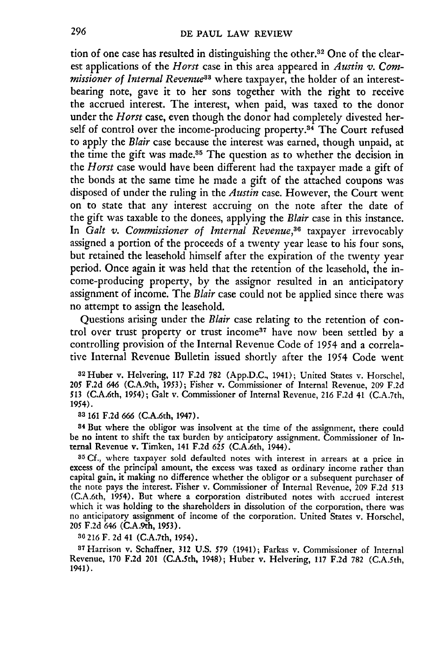tion of one case has resulted in distinguishing the other.<sup>32</sup> One of the clearest applications of the *Horst* case in this area appeared in *Austin v. Commissioner of Internal Revenue*<sup>33</sup> where taxpayer, the holder of an interestbearing note, gave it to her sons together with the right to receive the accrued interest. The interest, when paid, was taxed to the donor under the *Horst* case, even though the donor had completely divested herself of control over the income-producing property. $34$  The Court refused to apply the *Blair* case because the interest was earned, though unpaid, at the time the gift was made.<sup>35</sup> The question as to whether the decision in the *Horst* case would have been different had the taxpayer made a gift of the bonds at the same time he made a gift of the attached coupons was disposed of under the ruling in the *Austin* case. However, the Court went on to state that any interest accruing on the note after the date of the gift was taxable to the donees, applying the *Blair* case in this instance. In Galt v. Commissioner of Internal Revenue,<sup>36</sup> taxpayer irrevocably assigned a portion of the proceeds of a twenty year lease to his four sons, but retained the leasehold himself after the expiration of the twenty year period. Once again it was held that the retention of the leasehold, the income-producing property, by the assignor resulted in an anticipatory assignment of income. The *Blair* case could not be applied since there was no attempt to assign the leasehold.

Questions arising under the *Blair* case relating to the retention of control over trust property or trust income<sup>37</sup> have now been settled by a controlling provision of the Internal Revenue Code of 1954 and a correlative Internal Revenue Bulletin issued shortly after the 1954 Code went

**<sup>32</sup>**Huber v. Helvering, 117 **F.2d** 782 **(App.D.C.,** 1941); United States v. Horschel, **205 F.2d** 646 (C.A.9th, **1953);** Fisher v. Commissioner of Internal Revenue, **209 F.2d** *513* (CA.6th, 1954); Gait v. Commissioner of Internal Revenue, **216 F.2d** 41 (C.A.7th, **1954).**

**33 161 F.2d 666** (C.A.6th, 1947).

**<sup>34</sup>**But where the obligor was insolvent at the time of the assignment, there could be no intent to shift the tax burden **by** anticipatory assignment. Commissioner of Internal Revenue v. Timken, 141 **F.2d** *625* (C.A.6th, 1944).

**5 Cf.,** where taxpayer sold defaulted notes with interest in arrears at a price in excess of the principal amount, the excess was taxed as ordinary income rather than capital gain, it making no difference whether the obligor or a subsequent purchaser of the note pays the interest. Fisher v. Commissioner of Internal Revenue, **209 F.2d 513** (C.A.6th, **1954).** But where a corporation distributed notes with accrued interest which it was holding to the shareholders in dissolution of the corporation, there was no anticipatory assignment of income of the corporation. United States v. Horschel, **205 F.2d** *646* (C.A.9th, **1953).**

**30 216** F. **2d** 41 (C.A.7th, **1954).**

87 Harrison v. Schaffner, **312 U.S. 579** (1941); Farkas v. Commissioner of Internal Revenue, **170 F.2d** 201 (C.A.Sth, 1948); Huber v. Helvering, **117 F.2d 782** (C.A.Sth, 1941).